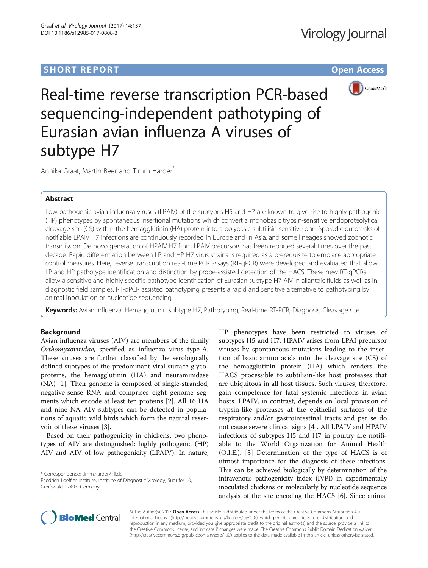# **SHORT REPORT SHORT CONSUMING THE CONSUMING THE CONSUMING THE CONSUMING THE CONSUMING THE CONSUMING THE CONSUMING THE CONSUMING THE CONSUMING THE CONSUMING THE CONSUMING THE CONSUMING THE CONSUMING THE CONSUMING THE CONS**



Real-time reverse transcription PCR-based sequencing-independent pathotyping of Eurasian avian influenza A viruses of subtype H7

Annika Graaf, Martin Beer and Timm Harder<sup>\*</sup>

## Abstract

Low pathogenic avian influenza viruses (LPAIV) of the subtypes H5 and H7 are known to give rise to highly pathogenic (HP) phenotypes by spontaneous insertional mutations which convert a monobasic trypsin-sensitive endoproteolytical cleavage site (CS) within the hemagglutinin (HA) protein into a polybasic subtilisin-sensitive one. Sporadic outbreaks of notifiable LPAIV H7 infections are continuously recorded in Europe and in Asia, and some lineages showed zoonotic transmission. De novo generation of HPAIV H7 from LPAIV precursors has been reported several times over the past decade. Rapid differentiation between LP and HP H7 virus strains is required as a prerequisite to emplace appropriate control measures. Here, reverse transcription real-time PCR assays (RT-qPCR) were developed and evaluated that allow LP and HP pathotype identification and distinction by probe-assisted detection of the HACS. These new RT-qPCRs allow a sensitive and highly specific pathotype identification of Eurasian subtype H7 AIV in allantoic fluids as well as in diagnostic field samples. RT-qPCR assisted pathotyping presents a rapid and sensitive alternative to pathotyping by animal inoculation or nucleotide sequencing.

Keywords: Avian influenza, Hemagglutinin subtype H7, Pathotyping, Real-time RT-PCR, Diagnosis, Cleavage site

## Background

Avian influenza viruses (AIV) are members of the family Orthomyxoviridae, specified as influenza virus type-A. These viruses are further classified by the serologically defined subtypes of the predominant viral surface glycoproteins, the hemagglutinin (HA) and neuraminidase (NA) [\[1](#page-8-0)]. Their genome is composed of single-stranded, negative-sense RNA and comprises eight genome segments which encode at least ten proteins [[2\]](#page-8-0). All 16 HA and nine NA AIV subtypes can be detected in populations of aquatic wild birds which form the natural reservoir of these viruses [[3\]](#page-8-0).

Based on their pathogenicity in chickens, two phenotypes of AIV are distinguished: highly pathogenic (HP) AIV and AIV of low pathogenicity (LPAIV). In nature,

\* Correspondence: [timm.harder@fli.de](mailto:timm.harder@fli.de)

Friedrich Loeffler Institute, Institute of Diagnostic Virology, Südufer 10, Greifswald 17493, Germany

HP phenotypes have been restricted to viruses of subtypes H5 and H7. HPAIV arises from LPAI precursor viruses by spontaneous mutations leading to the insertion of basic amino acids into the cleavage site (CS) of the hemagglutinin protein (HA) which renders the HACS processible to subtilisin-like host proteases that are ubiquitous in all host tissues. Such viruses, therefore, gain competence for fatal systemic infections in avian hosts. LPAIV, in contrast, depends on local provision of trypsin-like proteases at the epithelial surfaces of the respiratory and/or gastrointestinal tracts and per se do not cause severe clinical signs [\[4\]](#page-8-0). All LPAIV and HPAIV infections of subtypes H5 and H7 in poultry are notifiable to the World Organization for Animal Health (O.I.E.). [\[5](#page-8-0)] Determination of the type of HACS is of utmost importance for the diagnosis of these infections. This can be achieved biologically by determination of the intravenous pathogenicity index (IVPI) in experimentally inoculated chickens or molecularly by nucleotide sequence analysis of the site encoding the HACS [\[6\]](#page-8-0). Since animal



© The Author(s). 2017 **Open Access** This article is distributed under the terms of the Creative Commons Attribution 4.0 International License [\(http://creativecommons.org/licenses/by/4.0/](http://creativecommons.org/licenses/by/4.0/)), which permits unrestricted use, distribution, and reproduction in any medium, provided you give appropriate credit to the original author(s) and the source, provide a link to the Creative Commons license, and indicate if changes were made. The Creative Commons Public Domain Dedication waiver [\(http://creativecommons.org/publicdomain/zero/1.0/](http://creativecommons.org/publicdomain/zero/1.0/)) applies to the data made available in this article, unless otherwise stated.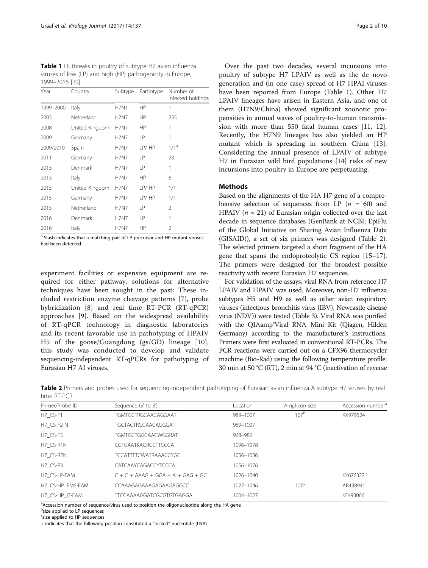<span id="page-1-0"></span>Table 1 Outbreaks in poultry of subtype H7 avian influenza viruses of low (LP) and high (HP) pathogenicity in Europe, 1999–2016 [[20](#page-9-0)]

| Year      | Country        | Subtype     | Pathotype | Number of<br>infected holdings |
|-----------|----------------|-------------|-----------|--------------------------------|
| 1999-2000 | Italy          | <b>H7N1</b> | HP        | 1                              |
| 2003      | Netherland     | <b>H7N7</b> | HP        | 255                            |
| 2008      | United Kingdom | <b>H7N7</b> | HP        | 1                              |
| 2009      | Germany        | <b>H7N7</b> | LP        | 1                              |
| 2009/2010 | Spain          | <b>H7N7</b> | LP/HP     | 1/1 <sup>a</sup>               |
| 2011      | Germany        | <b>H7N7</b> | LP        | 23                             |
| 2013      | Denmark        | <b>H7N7</b> | LP        | 1                              |
| 2013      | Italy          | <b>H7N7</b> | HP        | 6                              |
| 2015      | United Kingdom | <b>H7N7</b> | LP/HP     | 1/1                            |
| 2015      | Germany        | <b>H7N7</b> | LP/HP     | 1/1                            |
| 2015      | Netherland     | <b>H7N7</b> | LP        | 2                              |
| 2016      | Denmark        | <b>H7N7</b> | LP        | 1                              |
| 2016      | Italy          | <b>H7N7</b> | ΗP        | 2                              |

<sup>a</sup> Slash indicates that a matching pair of LP precursor and HP mutant viruses had been detected

experiment facilities or expensive equipment are required for either pathway, solutions for alternative techniques have been sought in the past: These included restriction enzyme cleavage patterns [[7\]](#page-8-0), probe hybridization [\[8](#page-8-0)] and real time RT-PCR (RT-qPCR) approaches [[9\]](#page-8-0). Based on the widespread availability of RT-qPCR technology in diagnostic laboratories and its recent favorable use in pathotyping of HPAIV H5 of the goose/Guangdong (gs/GD) lineage [[10](#page-8-0)], this study was conducted to develop and validate sequencing-independent RT-qPCRs for pathotyping of Eurasian H7 AI viruses.

Over the past two decades, several incursions into poultry of subtype H7 LPAIV as well as the de novo generation and (in one case) spread of H7 HPAI viruses have been reported from Europe (Table 1). Other H7 LPAIV lineages have arisen in Eastern Asia, and one of them (H7N9/China) showed significant zoonotic propensities in annual waves of poultry-to-human transmission with more than 550 fatal human cases [\[11](#page-8-0), [12](#page-8-0)]. Recently, the H7N9 lineages has also yielded an HP mutant which is spreading in southern China [\[13](#page-8-0)]. Considering the annual presence of LPAIV of subtype H7 in Eurasian wild bird populations [[14\]](#page-8-0) risks of new incursions into poultry in Europe are perpetuating.

## **Methods**

Based on the alignments of the HA H7 gene of a comprehensive selection of sequences from LP  $(n = 60)$  and HPAIV ( $n = 21$ ) of Eurasian origin collected over the last decade in sequence databases (GenBank at NCBI; EpiFlu of the Global Initiative on Sharing Avian Influenza Data (GISAID)), a set of six primers was designed (Table 2). The selected primers targeted a short fragment of the HA gene that spans the endoproteolytic CS region [\[15](#page-8-0)–[17](#page-9-0)]. The primers were designed for the broadest possible reactivity with recent Eurasian H7 sequences.

For validation of the assays, viral RNA from reference H7 LPAIV and HPAIV was used. Moreover, non-H7 influenza subtypes H5 and H9 as well as other avian respiratory viruses (infectious bronchitis virus (IBV), Newcastle disease virus (NDV)) were tested (Table [3](#page-2-0)). Viral RNA was purified with the QIAamp®Viral RNA Mini Kit (Qiagen, Hilden Germany) according to the manufacturer's instructions. Primers were first evaluated in conventional RT-PCRs. The PCR reactions were carried out on a CFX96 thermocycler machine (Bio-Rad) using the following temperature profile: 30 min at 50 °C (RT), 2 min at 94 °C (inactivation of reverse

Table 2 Primers and probes used for sequencing-independent pathotyping of Eurasian avian influenza A subtype H7 viruses by real time RT-PCR

| Primer/Probe ID  | Sequence (5' to 3')                 | Location  | Amplicon size    | Accession number <sup>a</sup> |
|------------------|-------------------------------------|-----------|------------------|-------------------------------|
| H7 CS-F1         | <b>TGMTGCTRGCAACAGGAAT</b>          | 989-1007  | 107 <sup>b</sup> | KX979524                      |
| H7 CS-F2 N       | TGCTACTRGCAACAGGGAT                 | 989-1007  |                  |                               |
| H7 CS-F3         | TGMTGCTGGCAACWGGRAT                 | 968-986   |                  |                               |
| H7 CS-R1N        | CGTCAATKAGRCCTTCCCA                 | 1096-1078 |                  |                               |
| H7 CS-R2N        | <b>TCCATTTTCWATRAAACCYGC</b>        | 1056-1036 |                  |                               |
| H7 CS-R3         | CATCAAYCAGACCYTCCCA                 | 1056-1076 |                  |                               |
| H7 CS-LP-FAM     | $C + C + AAAG + GGA + A + GAG + GC$ | 1026-1040 |                  | KY676327.1                    |
| H7 CS-HP EMS-FAM | CCAAAGAGAAAGAGAAGAGGCC              | 1027-1046 | 120 <sup>c</sup> | AB438941                      |
| H7 CS-HP IT-FAM  | <b>TTCCAAAAGGATCGCGTGTGAGGA</b>     | 1004-1027 |                  | KF493066                      |

<sup>a</sup>Accession number of sequence/virus used to position the oligonucleotide along the HA gene

**b**size applied to LP sequences

<sup>c</sup>size applied to HP sequences

+ indicates that the following position constituted a "locked" nucleotide (LNA)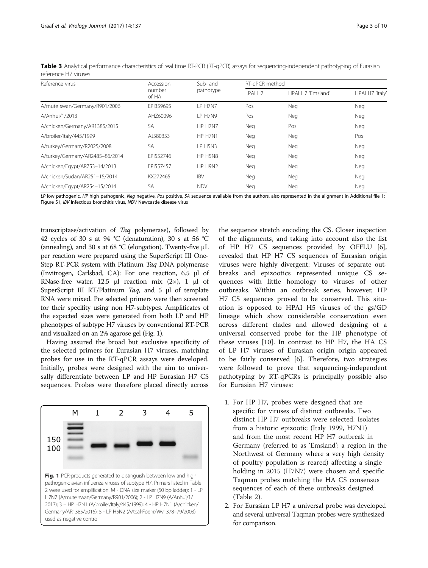| Reference virus                 | Accession       | Sub- and              | RT-gPCR method |                   |                 |  |
|---------------------------------|-----------------|-----------------------|----------------|-------------------|-----------------|--|
|                                 | number<br>of HA | pathotype             | LPAI H7        | HPAI H7 'Emsland' | HPAI H7 'Italy' |  |
| A/mute swan/Germany/R901/2006   | EPI359695       | LP H7N7               | Pos            | Neg               | Neg             |  |
| A/Anhui/1/2013                  | AHZ60096        | LP H7N9               | Pos            | Neg               | Neg             |  |
| A/chicken/Germany/AR1385/2015   | SA              | HP H7N7<br>Neg<br>Pos |                | Neg               |                 |  |
| A/broiler/Italy/445/1999        | AJ580353        | HP H7N1               | Neg            | Neg               | Pos             |  |
| A/turkey/Germany/R2025/2008     | SA              | LP H5N3               | Neg            | Neg               | Neg             |  |
| A/turkey/Germany/AR2485-86/2014 | EPI552746       | HP H5N8               | Neg<br>Neg     |                   | Neg             |  |
| A/chicken/Egypt/AR753-14/2013   | FPI557457       | HP H9N2               | Neg<br>Neg     |                   | Neg             |  |
| A/chicken/Sudan/AR251-15/2014   | KX272465        | <b>IBV</b>            | Neg            | Neg               | Neg             |  |
| A/chicken/Egypt/AR254-15/2014   | <b>SA</b>       | <b>NDV</b>            | Neg            | Neg               | Neg             |  |

<span id="page-2-0"></span>Table 3 Analytical performance characteristics of real time RT-PCR (RT-qPCR) assays for sequencing-independent pathotyping of Eurasian reference H7 viruses

LP low pathogenic, HP high pathogenic, Neg negative, Pos positive, SA sequence available from the authors, also represented in the alignment in Additional file [1](#page-8-0): Figure S1, IBV Infectious bronchitis virus, NDV Newcastle disease virus

transcriptase/activation of Taq polymerase), followed by 42 cycles of 30 s at 94 °C (denaturation), 30 s at 56 °C (annealing), and 30 s at 68 °C (elongation). Twenty-five  $\mu$ L per reaction were prepared using the SuperScript III One-Step RT-PCR system with Platinum Taq DNA polymerase (Invitrogen, Carlsbad, CA): For one reaction, 6.5 μl of RNase-free water, 12.5 μl reaction mix  $(2\times)$ , 1 μl of SuperScript III RT/Platinum Taq, and 5 μl of template RNA were mixed. Pre selected primers were then screened for their specifity using non H7-subtypes. Amplificates of the expected sizes were generated from both LP and HP phenotypes of subtype H7 viruses by conventional RT-PCR and visualized on an 2% agarose gel (Fig. 1).

Having assured the broad but exclusive specificity of the selected primers for Eurasian H7 viruses, matching probes for use in the RT-qPCR assays were developed. Initially, probes were designed with the aim to universally differentiate between LP and HP Eurasian H7 CS sequences. Probes were therefore placed directly across



the sequence stretch encoding the CS. Closer inspection of the alignments, and taking into account also the list of HP H7 CS sequences provided by OFFLU [\[6](#page-8-0)], revealed that HP H7 CS sequences of Eurasian origin viruses were highly divergent: Viruses of separate outbreaks and epizootics represented unique CS sequences with little homology to viruses of other outbreaks. Within an outbreak series, however, HP H7 CS sequences proved to be conserved. This situation is opposed to HPAI H5 viruses of the gs/GD lineage which show considerable conservation even across different clades and allowed designing of a universal conserved probe for the HP phenotype of these viruses [\[10](#page-8-0)]. In contrast to HP H7, the HA CS of LP H7 viruses of Eurasian origin origin appeared to be fairly conserved [[6\]](#page-8-0). Therefore, two strategies were followed to prove that sequencing-independent pathotyping by RT-qPCRs is principally possible also for Eurasian H7 viruses:

- 1. For HP H7, probes were designed that are specific for viruses of distinct outbreaks. Two distinct HP H7 outbreaks were selected: Isolates from a historic epizootic (Italy 1999, H7N1) and from the most recent HP H7 outbreak in Germany (referred to as 'Emsland'; a region in the Northwest of Germany where a very high density of poultry population is reared) affecting a single holding in 2015 (H7N7) were chosen and specific Taqman probes matching the HA CS consensus sequences of each of these outbreaks designed (Table [2](#page-1-0)).
- 2. For Eurasian LP H7 a universal probe was developed and several universal Taqman probes were synthesized for comparison.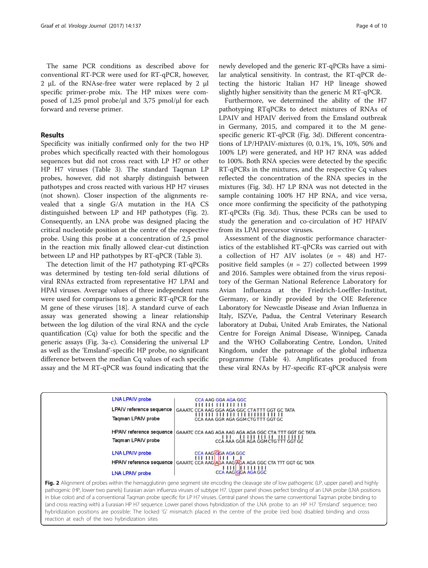The same PCR conditions as described above for conventional RT-PCR were used for RT-qPCR, however, 2 μL of the RNAse-free water were replaced by 2 μl specific primer-probe mix. The HP mixes were composed of 1,25 pmol probe/μl and 3,75 pmol/μl for each forward and reverse primer.

## Results

Specificity was initially confirmed only for the two HP probes which specifically reacted with their homologous sequences but did not cross react with LP H7 or other HP H7 viruses (Table [3](#page-2-0)). The standard Taqman LP probes, however, did not sharply distinguish between pathotypes and cross reacted with various HP H7 viruses (not shown). Closer inspection of the alignments revealed that a single G/A mutation in the HA CS distinguished between LP and HP pathotypes (Fig. 2). Consequently, an LNA probe was designed placing the critical nucleotide position at the centre of the respective probe. Using this probe at a concentration of 2,5 pmol in the reaction mix finally allowed clear-cut distinction between LP and HP pathotypes by RT-qPCR (Table [3](#page-2-0)).

The detection limit of the H7 pathotyping RT-qPCRs was determined by testing ten-fold serial dilutions of viral RNAs extracted from representative H7 LPAI and HPAI viruses. Average values of three independent runs were used for comparisons to a generic RT-qPCR for the M gene of these viruses [\[18](#page-9-0)]. A standard curve of each assay was generated showing a linear relationship between the log dilution of the viral RNA and the cycle quantification (Cq) value for both the specific and the generic assays (Fig. [3a-c](#page-5-0)). Considering the universal LP as well as the 'Emsland'-specific HP probe, no significant difference between the median Cq values of each specific assay and the M RT-qPCR was found indicating that the

newly developed and the generic RT-qPCRs have a similar analytical sensitivity. In contrast, the RT-qPCR detecting the historic Italian H7 HP lineage showed slightly higher sensitivity than the generic M RT-qPCR.

Furthermore, we determined the ability of the H7 pathotyping RTqPCRs to detect mixtures of RNAs of LPAIV and HPAIV derived from the Emsland outbreak in Germany, 2015, and compared it to the M genespecific generic RT-qPCR (Fig. [3d\)](#page-5-0). Different concentrations of LP/HPAIV-mixtures (0, 0.1%, 1%, 10%, 50% and 100% LP) were generated, and HP H7 RNA was added to 100%. Both RNA species were detected by the specific RT-qPCRs in the mixtures, and the respective Cq values reflected the concentration of the RNA species in the mixtures (Fig. [3d\)](#page-5-0). H7 LP RNA was not detected in the sample containing 100% H7 HP RNA, and vice versa, once more confirming the specificity of the pathotyping RT-qPCRs (Fig. [3d](#page-5-0)). Thus, these PCRs can be used to study the generation and co-circulation of H7 HPAIV from its LPAI precursor viruses.

Assessment of the diagnostic performance characteristics of the established RT-qPCRs was carried out with a collection of H7 AIV isolates  $(n = 48)$  and H7positive field samples ( $n = 27$ ) collected between 1999 and 2016. Samples were obtained from the virus repository of the German National Reference Laboratory for Avian Influenza at the Friedrich-Loeffler-Institut, Germany, or kindly provided by the OIE Reference Laboratory for Newcastle Disease and Avian Influenza in Italy, ISZVe, Padua, the Central Veterinary Research laboratory at Dubai, United Arab Emirates, the National Centre for Foreign Animal Disease, Winnipeg, Canada and the WHO Collaborating Centre, London, United Kingdom, under the patronage of the global influenza programme (Table [4](#page-6-0)). Amplificates produced from these viral RNAs by H7-specific RT-qPCR analysis were



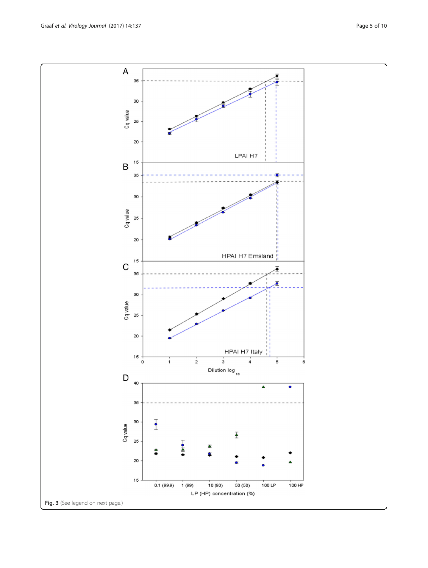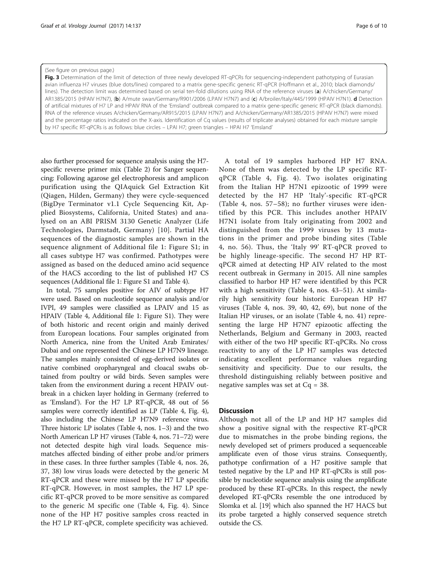#### <span id="page-5-0"></span>(See figure on previous page.)

Fig. 3 Determination of the limit of detection of three newly developed RT-qPCRs for sequencing-independent pathotyping of Eurasian avian influenza H7 viruses (blue dots/lines) compared to a matrix gene-specific generic RT-qPCR (Hoffmann et al., 2010; black diamonds/ lines). The detection limit was determined based on serial ten-fold dilutions using RNA of the reference viruses (a) A/chicken/Germany/ AR1385/2015 (HPAIV H7N7), (b) A/mute swan/Germany/R901/2006 (LPAIV H7N7) and (c) A/broiler/Italy/445/1999 (HPAIV H7N1). d Detection of artificial mixtures of H7 LP and HPAIV RNA of the 'Emsland' outbreak compared to a matrix gene-specific generic RT-qPCR (black diamonds). RNA of the reference viruses A/chicken/Germany/AR915/2015 (LPAIV H7N7) and A/chicken/Germany/AR1385/2015 (HPAIV H7N7) were mixed and the percentage ratios indicated on the X-axis. Identification of Cq values (results of triplicate analyses) obtained for each mixture sample by H7 specific RT-qPCRs is as follows: blue circles – LPAI H7; green triangles – HPAI H7 'Emsland'

also further processed for sequence analysis using the H7 specific reverse primer mix (Table [2\)](#page-1-0) for Sanger sequencing: Following agarose gel electrophoresis and amplicon purification using the QIAquick Gel Extraction Kit (Qiagen, Hilden, Germany) they were cycle-sequenced (BigDye Terminator v1.1 Cycle Sequencing Kit, Applied Biosystems, California, United States) and analysed on an ABI PRISM 3130 Genetic Analyzer (Life Technologies, Darmstadt, Germany) [[10](#page-8-0)]. Partial HA sequences of the diagnostic samples are shown in the sequence alignment of Additional file [1:](#page-8-0) Figure S1; in all cases subtype H7 was confirmed. Pathotypes were assigned as based on the deduced amino acid sequence of the HACS according to the list of published H7 CS sequences (Additional file [1](#page-8-0): Figure S1 and Table [4\)](#page-6-0).

In total, 75 samples positive for AIV of subtype H7 were used. Based on nucleotide sequence analysis and/or IVPI, 49 samples were classified as LPAIV and 15 as HPAIV (Table [4,](#page-6-0) Additional file [1:](#page-8-0) Figure S1). They were of both historic and recent origin and mainly derived from European locations. Four samples originated from North America, nine from the United Arab Emirates/ Dubai and one represented the Chinese LP H7N9 lineage. The samples mainly consisted of egg-derived isolates or native combined oropharyngeal and cloacal swabs obtained from poultry or wild birds. Seven samples were taken from the environment during a recent HPAIV outbreak in a chicken layer holding in Germany (referred to as 'Emsland'). For the H7 LP RT-qPCR, 48 out of 56 samples were correctly identified as LP (Table [4](#page-6-0), Fig. [4](#page-8-0)), also including the Chinese LP H7N9 reference virus. Three historic LP isolates (Table [4,](#page-6-0) nos. 1–3) and the two North American LP H7 viruses (Table [4,](#page-6-0) nos. 71–72) were not detected despite high viral loads. Sequence mismatches affected binding of either probe and/or primers in these cases. In three further samples (Table [4](#page-6-0), nos. 26, 37, 38) low virus loads were detected by the generic M RT-qPCR and these were missed by the H7 LP specific RT-qPCR. However, in most samples, the H7 LP specific RT-qPCR proved to be more sensitive as compared to the generic M specific one (Table [4,](#page-6-0) Fig. [4](#page-8-0)). Since none of the HP H7 positive samples cross reacted in the H7 LP RT-qPCR, complete specificity was achieved.

A total of 19 samples harbored HP H7 RNA. None of them was detected by the LP specific RTqPCR (Table [4,](#page-6-0) Fig. [4](#page-8-0)). Two isolates originating from the Italian HP H7N1 epizootic of 1999 were detected by the H7 HP 'Italy'-specific RT-qPCR (Table [4](#page-6-0), nos. 57–58); no further viruses were identified by this PCR. This includes another HPAIV H7N1 isolate from Italy originating from 2002 and distinguished from the 1999 viruses by 13 mutations in the primer and probe binding sites (Table [4,](#page-6-0) no. 56). Thus, the 'Italy 99' RT-qPCR proved to be highly lineage-specific. The second H7 HP RTqPCR aimed at detecting HP AIV related to the most recent outbreak in Germany in 2015. All nine samples classified to harbor HP H7 were identified by this PCR with a high sensitivity (Table [4](#page-6-0), nos. 43–51). At similarily high sensitivity four historic European HP H7 viruses (Table [4,](#page-6-0) nos. 39, 40, 42, 69), but none of the Italian HP viruses, or an isolate (Table [4,](#page-6-0) no. 41) representing the large HP H7N7 epizootic affecting the Netherlands, Belgium and Germany in 2003, reacted with either of the two HP specific RT-qPCRs. No cross reactivity to any of the LP H7 samples was detected indicating excellent performance values regarding sensitivity and specificity. Due to our results, the threshold distinguishing reliably between positive and negative samples was set at Cq = 38.

## **Discussion**

Although not all of the LP and HP H7 samples did show a positive signal with the respective RT-qPCR due to mismatches in the probe binding regions, the newly developed set of primers produced a sequenceable amplificate even of those virus strains. Consequently, pathotype confirmation of a H7 positive sample that tested negative by the LP and HP RT-qPCRs is still possible by nucleotide sequence analysis using the amplificate produced by these RT-qPCRs. In this respect, the newly developed RT-qPCRs resemble the one introduced by Slomka et al. [\[19\]](#page-9-0) which also spanned the H7 HACS but its probe targeted a highly conserved sequence stretch outside the CS.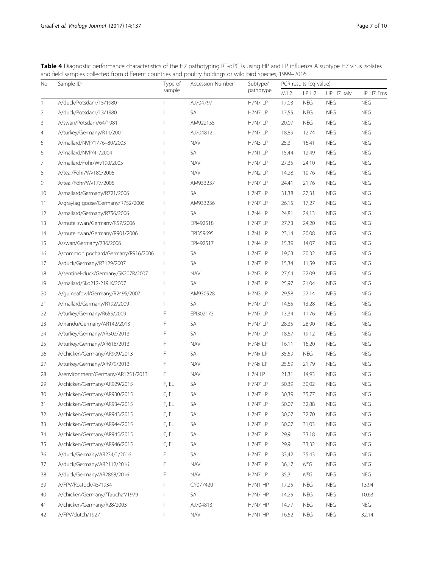<span id="page-6-0"></span>Table 4 Diagnostic performance characteristics of the H7 pathotyping RT-qPCRs using HP and LP influenza A subtype H7 virus isolates and field samples collected from different countries and poultry holdings or wild bird species, 1999–2016

| No.            | Sample ID                           | Type of<br>sample | Accession Number <sup>a</sup> | Subtype/<br>pathotype | PCR results (cq value) |            |                               |            |
|----------------|-------------------------------------|-------------------|-------------------------------|-----------------------|------------------------|------------|-------------------------------|------------|
|                |                                     |                   |                               |                       | M1.2                   | LP H7      | HP H7 Italy                   | HP H7 Ems  |
| 1              | A/duck/Potsdam/15/1980              |                   | AJ704797                      | H7N7 LP               | 17,03                  | <b>NEG</b> | <b>NEG</b>                    | <b>NEG</b> |
| 2              | A/duck/Potsdam/13/1980              |                   | SA                            | H7N7 LP               | 17,55                  | <b>NEG</b> | <b>NEG</b>                    | <b>NEG</b> |
| 3              | A/swan/Potsdam/64/1981              |                   | AM922155                      | H7N7 LP               | 20,07                  | <b>NEG</b> | <b>NEG</b>                    | NEG        |
| $\overline{4}$ | A/turkey/Germany/R11/2001           |                   | AJ704812                      | H7N7 LP               | 18,89                  | 12,74      | <b>NEG</b>                    | <b>NEG</b> |
| 5              | A/mallard/NVP/1776-80/2003          |                   | <b>NAV</b>                    | H7N3 LP               | 25,3                   | 16,41      | <b>NEG</b>                    | <b>NEG</b> |
| 6              | A/mallard/NVP/41/2004               |                   | SA                            | H7N1 LP               | 15,44                  | 12,49      | <b>NEG</b>                    | <b>NEG</b> |
| 7              | A/mallard/Föhr/Wv190/2005           |                   | <b>NAV</b>                    | H7N7 LP               | 27,35                  | 24,10      | <b>NEG</b>                    | <b>NEG</b> |
| 8              | A/teal/Föhr/Wv180/2005              |                   | <b>NAV</b>                    | H7N2 LP               | 14,28                  | 10,76      | <b>NEG</b>                    | <b>NEG</b> |
| 9              | A/teal/Föhr/Wv177/2005              |                   | AM933237                      | H7N7 LP               | 24,41                  | 21,76      | <b>NEG</b>                    | <b>NEG</b> |
| 10             | A/mallard/Germany/R721/2006         |                   | SA                            | H7N7 LP               | 31,38                  | 27,31      | <b>NEG</b>                    | <b>NEG</b> |
| 11             | A/graylag goose/Germany/R752/2006   |                   | AM933236                      | H7N7 LP               | 26,15                  | 17,27      | <b>NEG</b>                    | <b>NEG</b> |
| 12             | A/mallard/Germany/R756/2006         |                   | SA                            | H7N4 LP               | 24,81                  | 24,13      | <b>NEG</b>                    | <b>NEG</b> |
| 13             | A/mute swan/Germany/R57/2006        |                   | EPI492518                     | H7N7 LP               | 27,73                  | 24,20      | <b>NEG</b>                    | <b>NEG</b> |
| 14             | A/mute swan/Germany/R901/2006       |                   | EPI359695                     | H7N1 LP               | 23,14                  | 20,08      | <b>NEG</b>                    | <b>NEG</b> |
| 15             | A/swan/Germany/736/2006             |                   | EPI492517                     | H7N4 LP               | 15,39                  | 14,07      | <b>NEG</b>                    | <b>NEG</b> |
| 16             | A/common pochard/Germany/R916/2006  |                   | SA                            | H7N7 LP               | 19,03                  | 20,32      | <b>NEG</b>                    | <b>NEG</b> |
| 17             | A/duck/Germany/R3129/2007           |                   | SA                            | H7N7 LP               | 15,34                  | 11,59      | <b>NEG</b>                    | <b>NEG</b> |
| 18             | A/sentinel-duck/Germany/SK207R/2007 |                   | <b>NAV</b>                    | H7N3 LP               | 27,64                  | 22,09      | <b>NEG</b>                    | <b>NEG</b> |
| 19             | A/mallard/Sko212-219 K/2007         |                   | SA                            | H7N3 LP               | 25,97                  | 21,04      | <b>NEG</b>                    | <b>NEG</b> |
| 20             | A/guineafowl/Germany/R2495/2007     |                   | AM930528                      | H7N3 LP               | 29,58                  | 27,14      | <b>NEG</b>                    | <b>NEG</b> |
| 21             | A/mallard/Germany/R192/2009         |                   | SA                            | H7N7 LP               | 14,65                  | 13,28      | <b>NEG</b>                    | <b>NEG</b> |
| 22             | A/turkey/Germany/R655/2009          | F                 | EPI302173                     | H7N7 LP               | 13,34                  | 11,76      | <b>NEG</b>                    | <b>NEG</b> |
| 23             | A/nandu/Germany/AR142/2013          | F                 | SA                            | H7N7 LP               | 28,35                  | 28,90      | <b>NEG</b>                    | <b>NEG</b> |
| 24             | A/turkey/Germany/AR502/2013         | F                 | SA                            | H7N7 LP               | 18,67                  | 19,12      | <b>NEG</b>                    | NEG        |
| 25             | A/turkey/Germany/AR618/2013         | F                 | <b>NAV</b>                    | H7Nx LP               | 16,11                  | 16,20      | <b>NEG</b>                    | <b>NEG</b> |
| 26             | A/chicken/Germany/AR909/2013        | F                 | SA                            | H7Nx LP               | 35,59                  | <b>NEG</b> | <b>NEG</b>                    | <b>NEG</b> |
| 27             | A/turkey/Germany/AR979/2013         | F                 | <b>NAV</b>                    | H7Nx LP               | 25,59                  | 21,79      | <b>NEG</b>                    | <b>NEG</b> |
| 28             | A/environment/Germany/AR1251/2013   | F                 | <b>NAV</b>                    | H7N LP                | 21,31                  | 14,93      | <b>NEG</b>                    | <b>NEG</b> |
| 29             | A/chicken/Germany/AR929/2015        | F, EL             | SA                            | H7N7 LP               | 30,39                  | 30,02      | <b>NEG</b>                    | <b>NEG</b> |
| 30             | A/chicken/Germany/AR930/2015        | F, EL             | SA                            | H7N7 LP               | 30,39                  | 35,77      | <b>NEG</b>                    | <b>NEG</b> |
| 31             | A/chicken/Germany/AR934/2015        | F, EL             | SA                            | H7N7 LP               | 30,07                  | 32,88      | <b>NEG</b>                    | <b>NEG</b> |
| 32             | A/chicken/Germany/AR943/2015        | F, EL             | SA                            | H7N7 LP               | 30,07                  | 32,70      | <b>NEG</b>                    | <b>NEG</b> |
| 33             | A/chicken/Germany/AR944/2015        | F, EL             | SA                            | H7N7 LP               | 30,07                  | 31,03      | <b>NEG</b>                    | <b>NEG</b> |
| 34             | A/chicken/Germany/AR945/2015        | F, EL             | SA                            | H7N7 LP               | 29,9                   | 33,18      | $\operatorname{\mathsf{NEG}}$ | <b>NEG</b> |
| 35             | A/chicken/Germany/AR946/2015        | F, EL             | SA                            | H7N7 LP               | 29,9                   | 33,32      | <b>NEG</b>                    | <b>NEG</b> |
| 36             | A/duck/Germany/AR234/1/2016         | F                 | SA                            | H7N7 LP               | 33,42                  | 35,43      | <b>NEG</b>                    | <b>NEG</b> |
| 37             | A/duck/Germany/AR2112/2016          | F                 | <b>NAV</b>                    | H7N7 LP               | 36,17                  | NEG        | <b>NEG</b>                    | NEG        |
| 38             | A/duck/Germany/AR2868/2016          | F                 | <b>NAV</b>                    | H7N7 LP               | 35,3                   | NEG        | NEG                           | <b>NEG</b> |
| 39             | A/FPV/Rostock/45/1934               |                   | CY077420                      | H7N1 HP               | 17,25                  | <b>NEG</b> | <b>NEG</b>                    | 13,94      |
| 40             | A/chicken/Germany/"Taucha"/1979     |                   | SA                            | H7N7 HP               | 14,25                  | <b>NEG</b> | <b>NEG</b>                    | 10,63      |
| 41             | A/chicken/Germany/R28/2003          |                   | AJ704813                      | H7N7 HP               | 14,77                  | <b>NEG</b> | NEG                           | NEG        |
| 42             | A/FPV/dutch/1927                    |                   | <b>NAV</b>                    | H7N1 HP               | 16,52                  | <b>NEG</b> | <b>NEG</b>                    | 32,14      |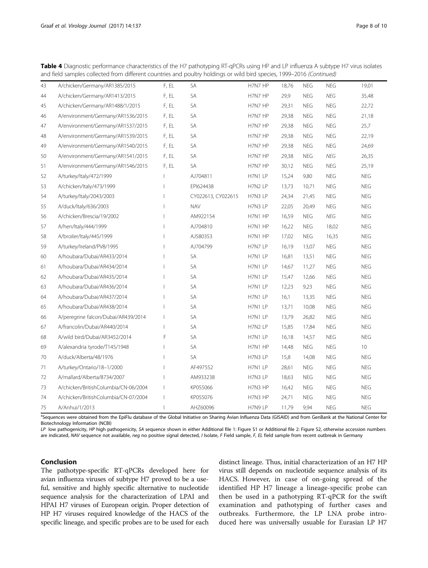Table 4 Diagnostic performance characteristics of the H7 pathotyping RT-qPCRs using HP and LP influenza A subtype H7 virus isolates and field samples collected from different countries and poultry holdings or wild bird species, 1999–2016 (Continued)

| 43 | A/chicken/Germany/AR1385/2015        | F, EL                    | SA                 | H7N7 HP | 18,76 | <b>NEG</b> | <b>NEG</b> | 19,01      |
|----|--------------------------------------|--------------------------|--------------------|---------|-------|------------|------------|------------|
| 44 | A/chicken/Germany/AR1413/2015        | F, EL                    | SA                 | H7N7 HP | 29,9  | <b>NEG</b> | <b>NEG</b> | 35,48      |
| 45 | A/chicken/Germany/AR1488/1/2015      | F, EL                    | SA                 | H7N7 HP | 29,31 | <b>NEG</b> | <b>NEG</b> | 22,72      |
| 46 | A/environment/Germany/AR1536/2015    | F, EL                    | SA                 | H7N7 HP | 29,38 | <b>NEG</b> | <b>NEG</b> | 21,18      |
| 47 | A/environment/Germany/AR1537/2015    | F, EL                    | <b>SA</b>          | H7N7 HP | 29,38 | <b>NEG</b> | <b>NEG</b> | 25,7       |
| 48 | A/environment/Germany/AR1539/2015    | F, EL                    | SA                 | H7N7 HP | 29,38 | <b>NEG</b> | <b>NEG</b> | 22,19      |
| 49 | A/environment/Germany/AR1540/2015    | F, EL                    | <b>SA</b>          | H7N7 HP | 29,38 | <b>NEG</b> | <b>NEG</b> | 24,69      |
| 50 | A/environment/Germany/AR1541/2015    | F, EL                    | <b>SA</b>          | H7N7 HP | 29,38 | <b>NEG</b> | <b>NEG</b> | 26,35      |
| 51 | A/environment/Germany/AR1546/2015    | F, EL                    | SA                 | H7N7 HP | 30,12 | <b>NEG</b> | <b>NEG</b> | 25,19      |
| 52 | A/turkey/Italy/472/1999              |                          | AJ704811           | H7N1 LP | 15,24 | 9,80       | <b>NEG</b> | <b>NEG</b> |
| 53 | A/chicken/Italy/473/1999             |                          | EPI624438          | H7N2 LP | 13,73 | 10,71      | <b>NEG</b> | <b>NEG</b> |
| 54 | A/turkey/Italy/2043/2003             |                          | CY022613, CY022615 | H7N3 LP | 24,34 | 21,45      | <b>NEG</b> | NEG        |
| 55 | A/duck/Italy/636/2003                |                          | <b>NAV</b>         | H7N3 LP | 22,05 | 20,49      | <b>NEG</b> | <b>NEG</b> |
| 56 | A/chicken/Brescia/19/2002            |                          | AM922154           | H7N1 HP | 16,59 | <b>NEG</b> | NEG        | <b>NEG</b> |
| 57 | A/hen/Italy/444/1999                 |                          | AJ704810           | H7N1 HP | 16,22 | <b>NEG</b> | 18,02      | <b>NEG</b> |
| 58 | A/broiler/Italy/445/1999             |                          | AJ580353           | H7N1 HP | 17,02 | <b>NEG</b> | 16,35      | <b>NEG</b> |
| 59 | A/turkey/Ireland/PV8/1995            |                          | AJ704799           | H7N7 LP | 16,19 | 13,07      | <b>NEG</b> | <b>NEG</b> |
| 60 | A/houbara/Dubai/AR433/2014           |                          | SA                 | H7N1 LP | 16,81 | 13,51      | <b>NEG</b> | <b>NEG</b> |
| 61 | A/houbara/Dubai/AR434/2014           |                          | SA                 | H7N1 LP | 14,67 | 11,27      | <b>NEG</b> | <b>NEG</b> |
| 62 | A/houbara/Dubai/AR435/2014           |                          | SA                 | H7N1 LP | 15,47 | 12,66      | <b>NEG</b> | NEG        |
| 63 | A/houbara/Dubai/AR436/2014           |                          | <b>SA</b>          | H7N1 LP | 12,23 | 9,23       | <b>NEG</b> | <b>NEG</b> |
| 64 | A/houbara/Dubai/AR437/2014           |                          | SA                 | H7N1 LP | 16,1  | 13,35      | <b>NEG</b> | <b>NEG</b> |
| 65 | A/houbara/Dubai/AR438/2014           |                          | SA                 | H7N1 LP | 13,71 | 10,08      | <b>NEG</b> | <b>NEG</b> |
| 66 | A/peregrine falcon/Dubai/AR439/2014  | $\mathbf{I}$             | SА                 | H7N1 LP | 13,79 | 26,82      | <b>NEG</b> | <b>NEG</b> |
| 67 | A/francolin/Dubai/AR440/2014         |                          | SA                 | H7N2 LP | 15,85 | 17,84      | <b>NEG</b> | <b>NEG</b> |
| 68 | A/wild bird/Dubai/AR3452/2014        | F                        | SA                 | H7N1 LP | 16,18 | 14,57      | <b>NEG</b> | <b>NEG</b> |
| 69 | A/alexandria tyrode/T145/1948        |                          | SA                 | H7N1 HP | 14,48 | <b>NEG</b> | <b>NEG</b> | 10         |
| 70 | A/duck/Alberta/48/1976               |                          | SA                 | H7N3 LP | 15,8  | 14,08      | <b>NEG</b> | <b>NEG</b> |
| 71 | A/turkey/Ontario/18-1/2000           |                          | AF497552           | H7N1 LP | 28,61 | <b>NEG</b> | <b>NEG</b> | <b>NEG</b> |
| 72 | A/mallard/Alberta/8734/2007          | $\overline{\phantom{a}}$ | AM933238           | H7N3 LP | 18,63 | <b>NEG</b> | <b>NEG</b> | NEG        |
| 73 | A/chicken/BritishColumbia/CN-06/2004 | $\overline{\phantom{a}}$ | KP055066           | H7N3 HP | 16,42 | <b>NEG</b> | <b>NEG</b> | <b>NEG</b> |
| 74 | A/chicken/BritishColumbia/CN-07/2004 | $\mathbf{I}$             | KP055076           | H7N3 HP | 24,71 | <b>NEG</b> | <b>NEG</b> | <b>NEG</b> |
| 75 | A/Anhui/1/2013                       | $\overline{\phantom{a}}$ | AHZ60096           | H7N9 LP | 11,79 | 9,94       | <b>NEG</b> | NEG        |

aSequences were obtained from the EpiFlu database of the Global Initiative on Sharing Avian Influenza Data (GISAID) and from GenBank at the National Center for Biotechnology Information (NCBI)

LP low pathogenicity, HP high pathogenicity, SA sequence shown in either Additional file [1:](#page-8-0) Figure S1 or Additional file [2:](#page-8-0) Figure S2, otherwise accession numbers are indicated, NAV sequence not available, neg no positive signal detected, I Isolate, F Field sample, F, EL field sample from recent outbreak in Germany

## Conclusion

The pathotype-specific RT-qPCRs developed here for avian influenza viruses of subtype H7 proved to be a useful, sensitive and highly specific alternative to nucleotide sequence analysis for the characterization of LPAI and HPAI H7 viruses of European origin. Proper detection of HP H7 viruses required knowledge of the HACS of the specific lineage, and specific probes are to be used for each distinct lineage. Thus, initial characterization of an H7 HP virus still depends on nucleotide sequence analysis of its HACS. However, in case of on-going spread of the identified HP H7 lineage a lineage-specific probe can then be used in a pathotyping RT-qPCR for the swift examination and pathotyping of further cases and outbreaks. Furthermore, the LP LNA probe introduced here was universally usuable for Eurasian LP H7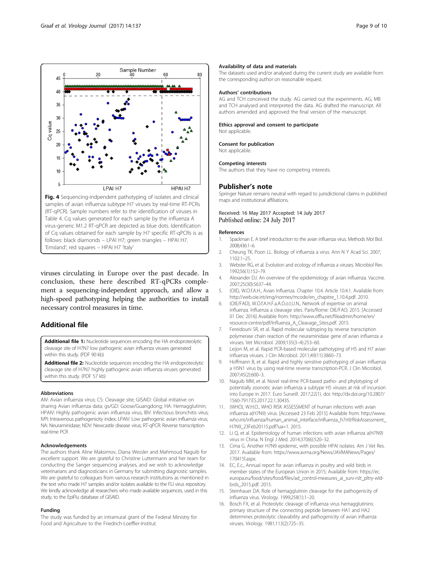<span id="page-8-0"></span>

viruses circulating in Europe over the past decade. In conclusion, these here described RT-qPCRs complement a sequencing-independent approach, and allow a high-speed pathotyping helping the authorities to install necessary control measures in time.

# Additional file

[Additional file 1:](dx.doi.org/10.1186/s12985-017-0808-3) Nucleotide sequences encoding the HA endoproteolytic cleavage site of H7N7 low pathogenic avian influenza viruses generated within this study. (PDF 90 kb)

[Additional file 2:](dx.doi.org/10.1186/s12985-017-0808-3) Nucleotide sequences encoding the HA endoproteolytic cleavage site of H7N7 highly pathogenic avian influenza viruses generated within this study. (PDF 57 kb)

#### Abbreviations

AIV: Avian influenza virus; CS: Cleavage site; GISAID: Global initiative on sharing Avian influenza data; gs/GD: Goose/Guangdong; HA: Hemagglutinin; HPAIV: Highly pathogenic avian influenza virus; IBV: Infectious bronchitis virus; IVPI: Intravenous pathogenicity index; LPAIV: Low pathogenic avian influenza virus; NA: Neuraminidase; NDV: Newcastle disease virus; RT-qPCR: Reverse transcription real-time PCR

### Acknowledgements

The authors thank Aline Maksimov, Diana Wessler and Mahmoud Naguib for excellent support. We are grateful to Christine Luttermann and her team for conducting the Sanger sequencing analyses, and we wish to acknowledge veterinarians and diagnosticians in Germany for submitting diagnostic samples. We are grateful to colleagues from various research institutions as mentioned in the text who made H7 samples and/or isolates available to the FLI virus repository. We kindly acknowledge all researchers who made available sequences, used in this study, to the EpiFlu database of GISAID.

#### Funding

The study was funded by an intramural grant of the Federal Ministry for Food and Agriculture to the Friedrich-Loeffler-Institut.

### Availability of data and materials

The datasets used and/or analysed during the current study are available from the corresponding author on reasonable request.

#### Authors' contributions

AG and TCH conceived the study. AG carried out the experiments. AG, MB and TCH analysed and interpreted the data. AG drafted the manuscript. All authors amended and approved the final version of the manuscript.

### Ethics approval and consent to participate

Not applicable.

Consent for publication

Not applicable.

#### Competing interests

The authors that they have no competing interests.

## Publisher's note

Springer Nature remains neutral with regard to jurisdictional claims in published maps and institutional affiliations.

### Received: 16 May 2017 Accepted: 14 July 2017 Published online: 24 July 2017

#### References

- 1. Spackman E. A brief introduction to the avian influenza virus. Methods Mol Biol. 2008;436:1–6.
- 2. Cheung TK, Poon LL. Biology of influenza a virus. Ann N Y Acad Sci. 2007;  $1102.1 - 25$
- 3. Webster RG, et al. Evolution and ecology of influenza a viruses. Microbiol Rev. 1992;56(1):152–79.
- 4. Alexander DJ. An overview of the epidemiology of avian influenza. Vaccine. 2007;25(30):5637–44.
- 5. (OIE), W.O.f.A.H., Avian Influenza. Chapter 10.4. Article 10.4.1. Available from: [http://web.oie.int/eng/normes/mcode/en\\_chapitre\\_1.10.4.pdf.](http://web.oie.int/eng/normes/mcode/en_chapitre_1.10.4.pdf) 2010.
- 6. (OIE/FAO), W.O.f.A.H.F.a.A.O.o.t.U.N., Network of expertise on animal influenza. Influenza a cleavage sites. Paris/Rome: OIE/FAO; 2015. [Accessed 01 Dec 2016] Available from: [http://www.offlu.net/fileadmin/home/en/](http://www.offlu.net/fileadmin/home/en/resource-centre/pdf/Influenza_A_Cleavage_Sites.pdf) [resource-centre/pdf/Influenza\\_A\\_Cleavage\\_Sites.pdf](http://www.offlu.net/fileadmin/home/en/resource-centre/pdf/Influenza_A_Cleavage_Sites.pdf). 2015.
- 7. Fereidouni SR, et al. Rapid molecular subtyping by reverse transcription polymerase chain reaction of the neuraminidase gene of avian influenza a viruses. Vet Microbiol. 2009;135(3–4):253–60.
- 8. Leijon M, et al. Rapid PCR-based molecular pathotyping of H5 and H7 avian influenza viruses. J Clin Microbiol. 2011;49(11):3860–73.
- 9. Hoffmann B, et al. Rapid and highly sensitive pathotyping of avian influenza a H5N1 virus by using real-time reverse transcription-PCR. J Clin Microbiol. 2007;45(2):600–3.
- 10. Naguib MM, et al. Novel real-time PCR-based patho- and phylotyping of potentially zoonotic avian influenza a subtype H5 viruses at risk of incursion into Europe in 2017. Euro Surveill. 2017;22(1). doi: [http://dx.doi.org/10.2807/](http://dx.doi.org/10.2807/1560-7917.ES.2017.22.1.30435) [1560-7917.ES.2017.22.1.30435.](http://dx.doi.org/10.2807/1560-7917.ES.2017.22.1.30435)
- 11. (WHO), W.H.O., WHO RISK ASSESSMENT of human infections with avian influenza a(H7N9) virus. [Accessed 23 Feb 2015] Available from: [http://www.](http://www.who.int/influenza/human_animal_interface/influenza_h7n9/RiskAssessment_H7N9_23Feb20115.pdf?ua=1) [who.int/influenza/human\\_animal\\_interface/influenza\\_h7n9/RiskAssessment\\_](http://www.who.int/influenza/human_animal_interface/influenza_h7n9/RiskAssessment_H7N9_23Feb20115.pdf?ua=1) [H7N9\\_23Feb20115.pdf?ua=1](http://www.who.int/influenza/human_animal_interface/influenza_h7n9/RiskAssessment_H7N9_23Feb20115.pdf?ua=1). 2015.
- 12. Li Q, et al. Epidemiology of human infections with avian influenza a(H7N9) virus in China. N Engl J Med. 2014;370(6):520–32.
- 13. Cima G. Another H7N9 epidemic, with possible HPAI isolates. Am J Vet Res. 2017. Available from: [https://www.avma.org/News/JAVMANews/Pages/](https://www.avma.org/News/JAVMANews/Pages/170415l.aspx) [170415l.aspx.](https://www.avma.org/News/JAVMANews/Pages/170415l.aspx)
- 14. EC, E.c., Annual report for avian influenza in poultry and wild birds in member states of the European Union in 2015; Available from: [https://ec.](https://ec.europa.eu/food/sites/food/files/ad_control-measures_ai_surv-rslt_pltry-wld-brds_2015.pdf) [europa.eu/food/sites/food/files/ad\\_control-measures\\_ai\\_surv-rslt\\_pltry-wld](https://ec.europa.eu/food/sites/food/files/ad_control-measures_ai_surv-rslt_pltry-wld-brds_2015.pdf)[brds\\_2015.pdf](https://ec.europa.eu/food/sites/food/files/ad_control-measures_ai_surv-rslt_pltry-wld-brds_2015.pdf). 2015.
- 15. Steinhauer DA. Role of hemagglutinin cleavage for the pathogenicity of influenza virus. Virology. 1999;258(1):1–20.
- 16. Bosch FX, et al. Proteolytic cleavage of influenza virus hemagglutinins: primary structure of the connecting peptide between HA1 and HA2 determines proteolytic cleavability and pathogenicity of avian influenza viruses. Virology. 1981;113(2):725–35.